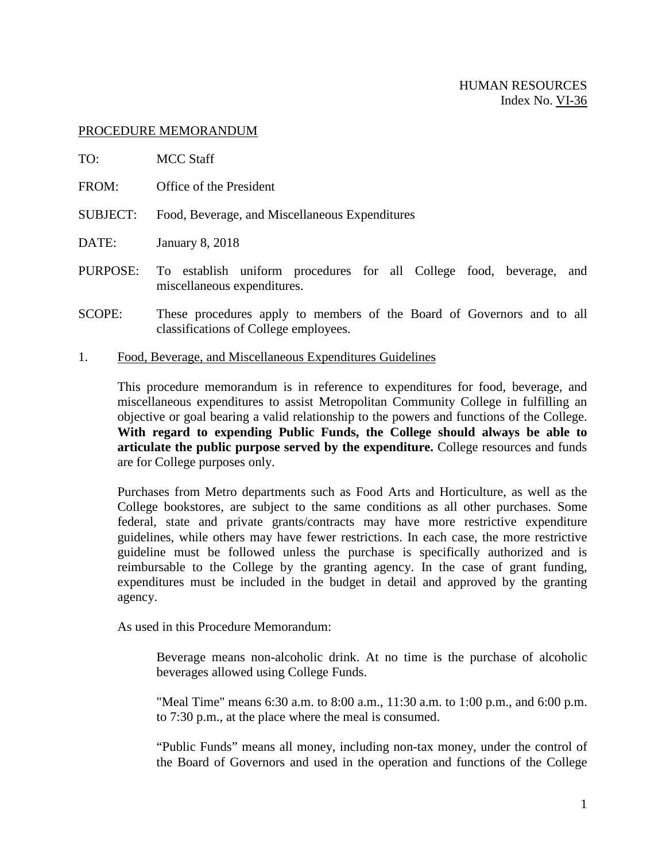#### PROCEDURE MEMORANDUM

- TO: MCC Staff
- FROM: Office of the President
- SUBJECT: Food, Beverage, and Miscellaneous Expenditures
- DATE: January 8, 2018
- PURPOSE: To establish uniform procedures for all College food, beverage, and miscellaneous expenditures.
- SCOPE: These procedures apply to members of the Board of Governors and to all classifications of College employees.
- 1. Food, Beverage, and Miscellaneous Expenditures Guidelines

This procedure memorandum is in reference to expenditures for food, beverage, and miscellaneous expenditures to assist Metropolitan Community College in fulfilling an objective or goal bearing a valid relationship to the powers and functions of the College. **With regard to expending Public Funds, the College should always be able to articulate the public purpose served by the expenditure.** College resources and funds are for College purposes only.

Purchases from Metro departments such as Food Arts and Horticulture, as well as the College bookstores, are subject to the same conditions as all other purchases. Some federal, state and private grants/contracts may have more restrictive expenditure guidelines, while others may have fewer restrictions. In each case, the more restrictive guideline must be followed unless the purchase is specifically authorized and is reimbursable to the College by the granting agency. In the case of grant funding, expenditures must be included in the budget in detail and approved by the granting agency.

As used in this Procedure Memorandum:

Beverage means non-alcoholic drink. At no time is the purchase of alcoholic beverages allowed using College Funds.

"Meal Time" means 6:30 a.m. to 8:00 a.m., 11:30 a.m. to 1:00 p.m., and 6:00 p.m. to 7:30 p.m., at the place where the meal is consumed.

"Public Funds" means all money, including non-tax money, under the control of the Board of Governors and used in the operation and functions of the College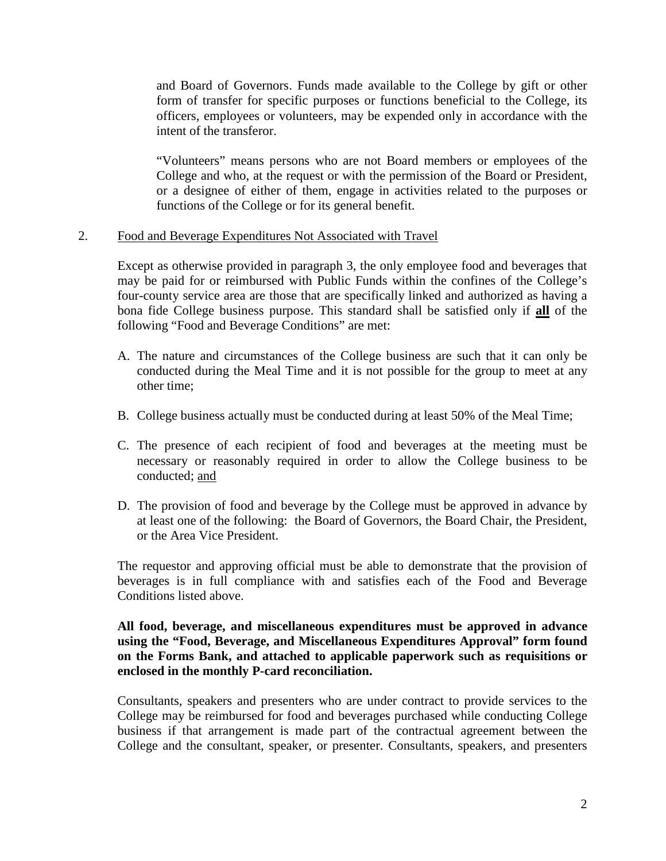and Board of Governors. Funds made available to the College by gift or other form of transfer for specific purposes or functions beneficial to the College, its officers, employees or volunteers, may be expended only in accordance with the intent of the transferor.

"Volunteers" means persons who are not Board members or employees of the College and who, at the request or with the permission of the Board or President, or a designee of either of them, engage in activities related to the purposes or functions of the College or for its general benefit.

2. Food and Beverage Expenditures Not Associated with Travel

Except as otherwise provided in paragraph 3, the only employee food and beverages that may be paid for or reimbursed with Public Funds within the confines of the College's four-county service area are those that are specifically linked and authorized as having a bona fide College business purpose. This standard shall be satisfied only if **all** of the following "Food and Beverage Conditions" are met:

- A. The nature and circumstances of the College business are such that it can only be conducted during the Meal Time and it is not possible for the group to meet at any other time;
- B. College business actually must be conducted during at least 50% of the Meal Time;
- C. The presence of each recipient of food and beverages at the meeting must be necessary or reasonably required in order to allow the College business to be conducted; and
- D. The provision of food and beverage by the College must be approved in advance by at least one of the following: the Board of Governors, the Board Chair, the President, or the Area Vice President.

The requestor and approving official must be able to demonstrate that the provision of beverages is in full compliance with and satisfies each of the Food and Beverage Conditions listed above.

## **All food, beverage, and miscellaneous expenditures must be approved in advance using the "Food, Beverage, and Miscellaneous Expenditures Approval" form found on the Forms Bank, and attached to applicable paperwork such as requisitions or enclosed in the monthly P-card reconciliation.**

Consultants, speakers and presenters who are under contract to provide services to the College may be reimbursed for food and beverages purchased while conducting College business if that arrangement is made part of the contractual agreement between the College and the consultant, speaker, or presenter. Consultants, speakers, and presenters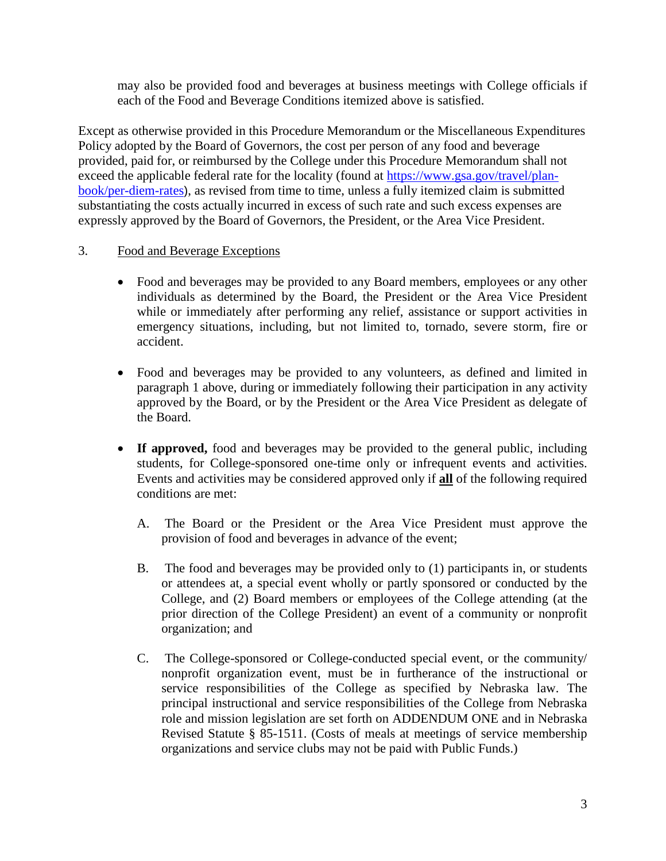may also be provided food and beverages at business meetings with College officials if each of the Food and Beverage Conditions itemized above is satisfied.

Except as otherwise provided in this Procedure Memorandum or the Miscellaneous Expenditures Policy adopted by the Board of Governors, the cost per person of any food and beverage provided, paid for, or reimbursed by the College under this Procedure Memorandum shall not exceed the applicable federal rate for the locality (found at [https://www.gsa.gov/travel/plan](https://www.gsa.gov/travel/plan-book/per-diem-rates)[book/per-diem-rates](https://www.gsa.gov/travel/plan-book/per-diem-rates)), as revised from time to time, unless a fully itemized claim is submitted substantiating the costs actually incurred in excess of such rate and such excess expenses are expressly approved by the Board of Governors, the President, or the Area Vice President.

# 3. Food and Beverage Exceptions

- Food and beverages may be provided to any Board members, employees or any other individuals as determined by the Board, the President or the Area Vice President while or immediately after performing any relief, assistance or support activities in emergency situations, including, but not limited to, tornado, severe storm, fire or accident.
- Food and beverages may be provided to any volunteers, as defined and limited in paragraph 1 above, during or immediately following their participation in any activity approved by the Board, or by the President or the Area Vice President as delegate of the Board.
- If approved, food and beverages may be provided to the general public, including students, for College-sponsored one-time only or infrequent events and activities. Events and activities may be considered approved only if **all** of the following required conditions are met:
	- A. The Board or the President or the Area Vice President must approve the provision of food and beverages in advance of the event;
	- B. The food and beverages may be provided only to (1) participants in, or students or attendees at, a special event wholly or partly sponsored or conducted by the College, and (2) Board members or employees of the College attending (at the prior direction of the College President) an event of a community or nonprofit organization; and
	- C. The College-sponsored or College-conducted special event, or the community/ nonprofit organization event, must be in furtherance of the instructional or service responsibilities of the College as specified by Nebraska law. The principal instructional and service responsibilities of the College from Nebraska role and mission legislation are set forth on ADDENDUM ONE and in Nebraska Revised Statute § 85-1511. (Costs of meals at meetings of service membership organizations and service clubs may not be paid with Public Funds.)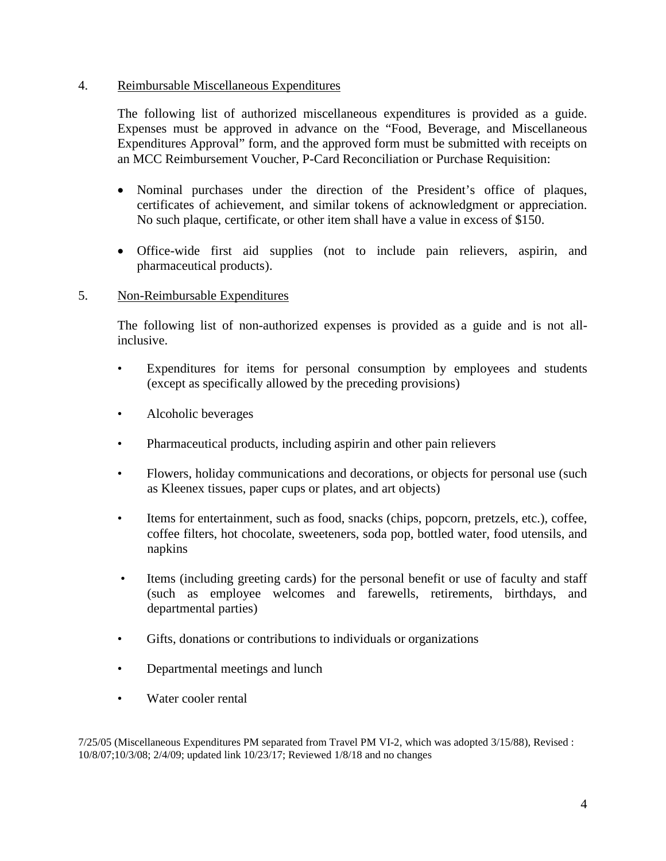### 4. Reimbursable Miscellaneous Expenditures

The following list of authorized miscellaneous expenditures is provided as a guide. Expenses must be approved in advance on the "Food, Beverage, and Miscellaneous Expenditures Approval" form, and the approved form must be submitted with receipts on an MCC Reimbursement Voucher, P-Card Reconciliation or Purchase Requisition:

- Nominal purchases under the direction of the President's office of plaques, certificates of achievement, and similar tokens of acknowledgment or appreciation. No such plaque, certificate, or other item shall have a value in excess of \$150.
- Office-wide first aid supplies (not to include pain relievers, aspirin, and pharmaceutical products).

# 5. Non-Reimbursable Expenditures

The following list of non-authorized expenses is provided as a guide and is not allinclusive.

- Expenditures for items for personal consumption by employees and students (except as specifically allowed by the preceding provisions)
- Alcoholic beverages
- Pharmaceutical products, including aspirin and other pain relievers
- Flowers, holiday communications and decorations, or objects for personal use (such as Kleenex tissues, paper cups or plates, and art objects)
- Items for entertainment, such as food, snacks (chips, popcorn, pretzels, etc.), coffee, coffee filters, hot chocolate, sweeteners, soda pop, bottled water, food utensils, and napkins
- Items (including greeting cards) for the personal benefit or use of faculty and staff (such as employee welcomes and farewells, retirements, birthdays, and departmental parties)
- Gifts, donations or contributions to individuals or organizations
- Departmental meetings and lunch
- Water cooler rental

7/25/05 (Miscellaneous Expenditures PM separated from Travel PM VI-2, which was adopted 3/15/88), Revised : 10/8/07;10/3/08; 2/4/09; updated link 10/23/17; Reviewed 1/8/18 and no changes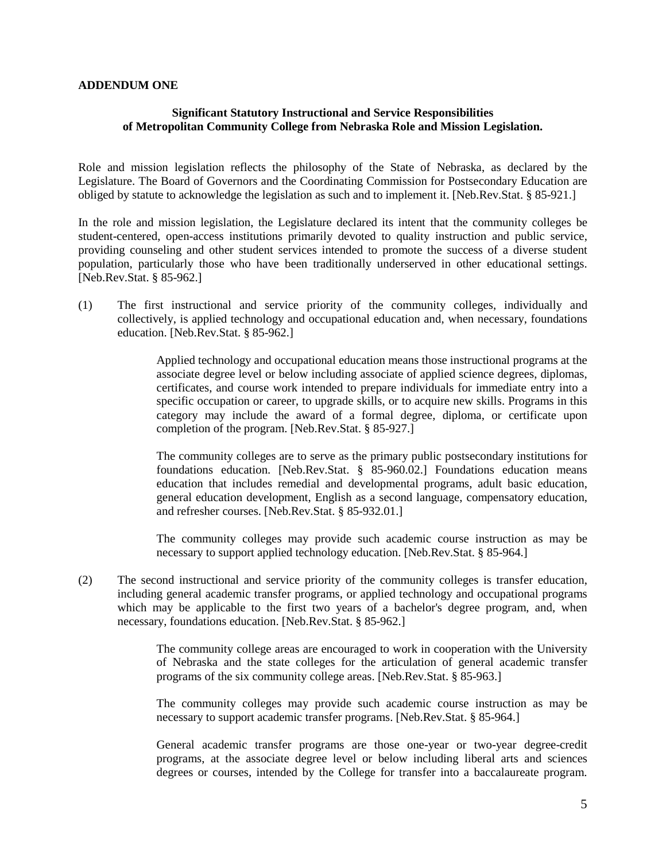#### **ADDENDUM ONE**

#### **Significant Statutory Instructional and Service Responsibilities of Metropolitan Community College from Nebraska Role and Mission Legislation.**

Role and mission legislation reflects the philosophy of the State of Nebraska, as declared by the Legislature. The Board of Governors and the Coordinating Commission for Postsecondary Education are obliged by statute to acknowledge the legislation as such and to implement it. [Neb.Rev.Stat. § 85-921.]

In the role and mission legislation, the Legislature declared its intent that the community colleges be student-centered, open-access institutions primarily devoted to quality instruction and public service, providing counseling and other student services intended to promote the success of a diverse student population, particularly those who have been traditionally underserved in other educational settings. [Neb.Rev.Stat. § 85-962.]

(1) The first instructional and service priority of the community colleges, individually and collectively, is applied technology and occupational education and, when necessary, foundations education. [Neb.Rev.Stat. § 85-962.]

> Applied technology and occupational education means those instructional programs at the associate degree level or below including associate of applied science degrees, diplomas, certificates, and course work intended to prepare individuals for immediate entry into a specific occupation or career, to upgrade skills, or to acquire new skills. Programs in this category may include the award of a formal degree, diploma, or certificate upon completion of the program. [Neb.Rev.Stat. § 85-927.]

> The community colleges are to serve as the primary public postsecondary institutions for foundations education. [Neb.Rev.Stat. § 85-960.02.] Foundations education means education that includes remedial and developmental programs, adult basic education, general education development, English as a second language, compensatory education, and refresher courses. [Neb.Rev.Stat. § 85-932.01.]

> The community colleges may provide such academic course instruction as may be necessary to support applied technology education. [Neb.Rev.Stat. § 85-964.]

(2) The second instructional and service priority of the community colleges is transfer education, including general academic transfer programs, or applied technology and occupational programs which may be applicable to the first two years of a bachelor's degree program, and, when necessary, foundations education. [Neb.Rev.Stat. § 85-962.]

> The community college areas are encouraged to work in cooperation with the University of Nebraska and the state colleges for the articulation of general academic transfer programs of the six community college areas. [Neb.Rev.Stat. § 85-963.]

> The community colleges may provide such academic course instruction as may be necessary to support academic transfer programs. [Neb.Rev.Stat. § 85-964.]

> General academic transfer programs are those one-year or two-year degree-credit programs, at the associate degree level or below including liberal arts and sciences degrees or courses, intended by the College for transfer into a baccalaureate program.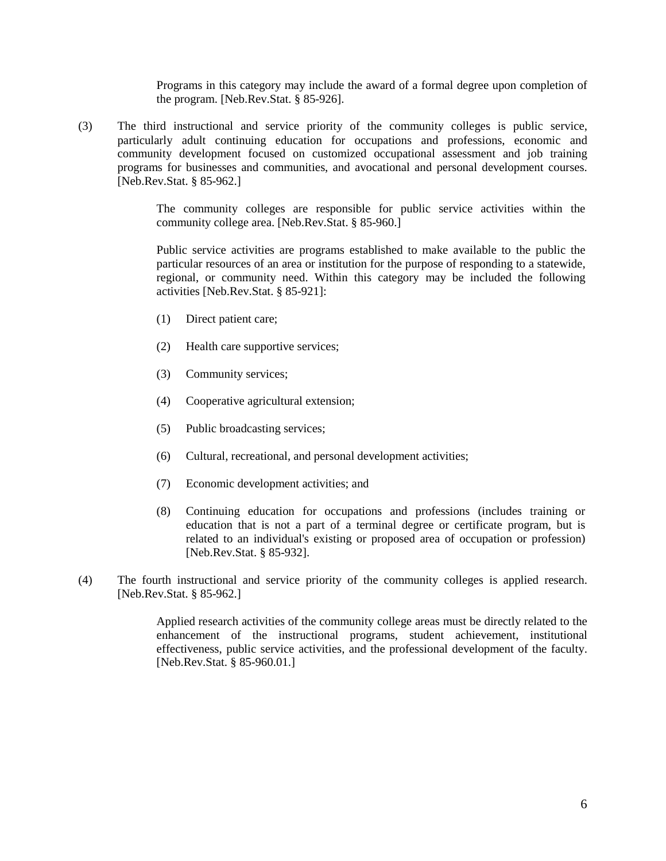Programs in this category may include the award of a formal degree upon completion of the program. [Neb.Rev.Stat. § 85-926].

(3) The third instructional and service priority of the community colleges is public service, particularly adult continuing education for occupations and professions, economic and community development focused on customized occupational assessment and job training programs for businesses and communities, and avocational and personal development courses. [Neb.Rev.Stat. § 85-962.]

> The community colleges are responsible for public service activities within the community college area. [Neb.Rev.Stat. § 85-960.]

> Public service activities are programs established to make available to the public the particular resources of an area or institution for the purpose of responding to a statewide, regional, or community need. Within this category may be included the following activities [Neb.Rev.Stat. § 85-921]:

- (1) Direct patient care;
- (2) Health care supportive services;
- (3) Community services;
- (4) Cooperative agricultural extension;
- (5) Public broadcasting services;
- (6) Cultural, recreational, and personal development activities;
- (7) Economic development activities; and
- (8) Continuing education for occupations and professions (includes training or education that is not a part of a terminal degree or certificate program, but is related to an individual's existing or proposed area of occupation or profession) [Neb.Rev.Stat. § 85-932].
- (4) The fourth instructional and service priority of the community colleges is applied research. [Neb.Rev.Stat. § 85-962.]

Applied research activities of the community college areas must be directly related to the enhancement of the instructional programs, student achievement, institutional effectiveness, public service activities, and the professional development of the faculty. [Neb.Rev.Stat. § 85-960.01.]